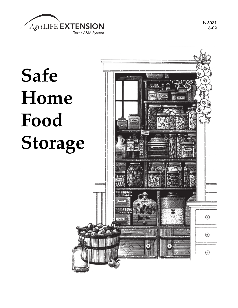

B-5031 8-02

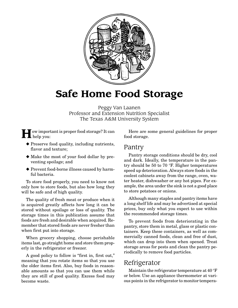

# **Safe Home Food Storage**

Peggy Van Laanen Professor and Extension Nutrition Specialist The Texas A&M University System

**H**ow important is proper food storage? It can  $\prod$  help you:

- ◆ Preserve food quality, including nutrients, flavor and texture;
- ◆ Make the most of your food dollar by preventing spoilage; and
- ◆ Prevent food-borne illness caused by harmful bacteria.

To store food properly, you need to know not only how to store foods, but also how long they will be safe and of high quality.

The quality of fresh meat or produce when it is acquired greatly affects how long it can be stored without spoilage or loss of quality. The storage times in this publication assume that foods are fresh and desirable when acquired. Remember that stored foods are never fresher than when first put into storage.

When grocery shopping, choose perishable items last, go straight home and store them properly in the refrigerator or freezer.

A good policy to follow is "first in, first out," meaning that you rotate items so that you use the older items first. Also, buy foods in reasonable amounts so that you can use them while they are still of good quality. Excess food may become waste.

Here are some general guidelines for proper food storage.

#### Pantry

Pantry storage conditions should be dry, cool and dark. Ideally, the temperature in the pantry should be 50 to 70 °F. Higher temperatures speed up deterioration. Always store foods in the coolest cabinets away from the range, oven, water heater, dishwasher or any hot pipes. For example, the area under the sink is not a good place to store potatoes or onions.

Although many staples and pantry items have a long shelf life and may be advertised at special prices, buy only what you expect to use within the recommended storage times.

To prevent foods from deteriorating in the pantry, store them in metal, glass or plastic containers. Keep these containers, as well as commercially canned foods, clean and free of dust, which can drop into them when opened. Treat storage areas for pests and clean the pantry periodically to remove food particles.

#### Refrigerator

Maintain the refrigerator temperature at 40 °F or below. Use an appliance thermometer at various points in the refrigerator to monitor tempera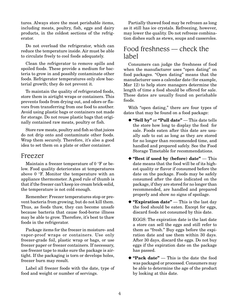tures. Always store the most perishable items, including meats, poultry, fish, eggs and dairy products, in the coldest sections of the refrigerator.

Do not overload the refrigerator, which can reduce the temperature inside. Air must be able to circulate freely to cool foods adequately.

Clean the refrigerator to remove spills and spoiled foods. These provide a medium for bacteria to grow in and possibly contaminate other foods. Refrigerator temperatures only slow bacterial growth; they do not prevent it.

To maintain the quality of refrigerated foods, store them in airtight wraps or containers. This prevents foods from drying out, and odors or flavors from transferring from one food to another. Avoid using plastic bags or containers not made for storage. Do not reuse plastic bags that originally contained raw meats, poultry or fish.

Store raw meats, poultry and fish so that juices do not drip onto and contaminate other foods. Wrap them securely. Therefore, it's also a good idea to set them on a plate or other container.

#### Freezer

Maintain a freezer temperature of 0 °F or below. Food quality deteriorates at temperatures above 0 °F. Monitor the temperature with an appliance thermometer. A good rule of thumb is that if the freezer can't keep ice cream brick-solid, the temperature is not cold enough.

Remember: Freezer temperatures stop or prevent bacteria from growing, but do not kill them. Thus, as foods thaw, they can become unsafe because bacteria that cause food-borne illness may be able to grow. Therefore, it's best to thaw foods in the refrigerator.

Package items for the freezer in moisture- and vapor-proof wraps or containers. Use only freezer-grade foil, plastic wrap or bags, or use freezer paper or freezer containers. If necessary, use freezer tape to make sure the package is airtight. If the packaging is torn or develops holes, freezer burn may result.

Label all freezer foods with the date, type of food and weight or number of servings.

Partially thawed food may be refrozen as long as it still has ice crystals. Refreezing, however, may lower the quality. Do not refreeze combination dishes such as stews, soups and casseroles.

#### Food freshness — check the label

Consumers can judge the freshness of food when the manufacturer uses "open dating" on food packages. "Open dating" means that the manufacturer uses a calendar date (for example, Mar 12) to help store managers determine the length of time a food should be offered for sale. These dates are usually found on perishable foods.

With "open dating," there are four types of dates that may be found on a food package:

- ◆ **"Sell by"** or **"Pull date"** This date tells the store how long to display the food for sale. Foods eaten after this date are usually safe to eat as long as they are stored for no longer than recommended time, and handled and prepared safely. See the Food Storage Timetable for recommendations.
- ◆ **"Best if used by (before) date"** This date means that the food will be of its highest quality or flavor if consumed before the date on the package. Foods may be safely consumed after the date indicated on the package, if they are stored for no longer than recommended, are handled and prepared properly and show no signs of spoilage.
- ◆ **"Expiration date"** This is the last day the food should be eaten. Except for eggs, discard foods not consumed by this date.

EGGS: The expiration date is the last date a store can sell the eggs and still refer to them as "fresh." Buy eggs before the expiration date and use them within 30 days. After 30 days, discard the eggs. Do not buy eggs if the expiration date on the package has passed.

◆ **"Pack date"** — This is the date the food was packaged or processed. Consumers may be able to determine the age of the product by looking at this date.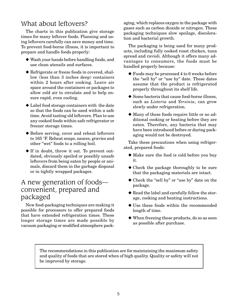## What about leftovers?

The charts in this publication give storage times for many leftover foods. Planning and using leftovers carefully can save money and time. To prevent food-borne illness, it is important to prepare and handle foods properly:

- ◆ Wash your hands before handling foods, and use clean utensils and surfaces.
- ◆ Refrigerate or freeze foods in covered, shallow (less than 3 inches deep) containers within 2 hours after cooking. Leave air space around the containers or packages to allow cold air to circulate and to help ensure rapid, even cooling.
- ◆ Label food storage containers with the date so that the foods can be used within a safe time. Avoid tasting old leftovers. Plan to use any cooked foods within safe refrigerator or freezer storage times.
- ◆ Before serving, cover and reheat leftovers to 165 °F. Reheat soups, sauces, gravies and other "wet" foods to a rolling boil.
- ◆ If in doubt, throw it out. To prevent outdated, obviously spoiled or possibly unsafe leftovers from being eaten by people or animals, discard them in the garbage disposal or in tightly wrapped packages.

## A new generation of foods convenient, prepared and packaged

New food-packaging techniques are making it possible for processors to offer prepared foods that have extended refrigeration times. These longer storage times are made possible by vacuum packaging or modified atmosphere packaging, which replaces oxygen in the package with gases such as carbon dioxide or nitrogen. These packaging techniques slow spoilage, discoloration and bacterial growth.

The packaging is being used for many products, including fully cooked roast chicken, tuna spread and ravioli. Although it offers many advantages to consumers, the foods must be handled properly because:

- ◆ Foods may be processed 4 to 6 weeks before the "sell by" or "use by" date. These dates assume that the product is refrigerated properly throughout its shelf life.
- ◆ Some bacteria that cause food-borne illness, such as *Listeria* and *Yersinia*, can grow slowly under refrigeration.
- ◆ Many of these foods require little or no additional cooking or heating before they are eaten. Therefore, any bacteria that may have been introduced before or during packaging would not be destroyed.

Take these precautions when using refrigerated, prepared foods:

- ◆ Make sure the food is cold before you buy it.
- ◆ Check the package thoroughly to be sure that the packaging materials are intact.
- ◆ Check the "sell by" or "use by" date on the package.
- ◆ Read the label and carefully follow the storage, cooking and heating instructions.
- ◆ Use these foods within the recommended length of time.
- ◆ When freezing these products, do so as soon as possible after purchase.

The recommendations in this publication are for maintaining the maximum safety and quality of foods that are stored when of high quality. Quality or safety will not be improved by storage.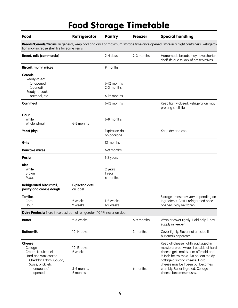# Food Storage Timetable

| Food                                                                                                                                          | Refrigerator                                    | Pantry                                   | <b>Freezer</b> | <b>Special handling</b>                                                                                                                                                                                                                                                                               |
|-----------------------------------------------------------------------------------------------------------------------------------------------|-------------------------------------------------|------------------------------------------|----------------|-------------------------------------------------------------------------------------------------------------------------------------------------------------------------------------------------------------------------------------------------------------------------------------------------------|
| tion may increase shelf life for some items.                                                                                                  |                                                 |                                          |                | Breads/Cereals/Grains: In general, keep cool and dry. For maximum storage time once opened, store in airtight containers. Refrigera-                                                                                                                                                                  |
| <b>Bread, rolls (commercial)</b>                                                                                                              |                                                 | 2-4 days                                 | 2-3 months     | Homemade breads may have shorter<br>shelf life due to lack of preservatives.                                                                                                                                                                                                                          |
| <b>Biscuit, muffin mixes</b>                                                                                                                  |                                                 | 9 months                                 |                |                                                                                                                                                                                                                                                                                                       |
| <b>Cereals</b><br>Ready-to-eat<br>(unopened)<br>(opened)<br>Ready-to-cook<br>oatmeal, etc.                                                    |                                                 | 6-12 months<br>2-3 months<br>6-12 months |                |                                                                                                                                                                                                                                                                                                       |
| Cornmeal                                                                                                                                      |                                                 | 6-12 months                              |                | Keep tightly closed. Refrigeration may<br>prolong shelf life.                                                                                                                                                                                                                                         |
| <b>Flour</b><br>White<br>Whole wheat                                                                                                          | 6-8 months                                      | 6-8 months                               |                |                                                                                                                                                                                                                                                                                                       |
| Yeast (dry)                                                                                                                                   |                                                 | <b>Expiration date</b><br>on package     |                | Keep dry and cool.                                                                                                                                                                                                                                                                                    |
| Grits                                                                                                                                         |                                                 | 12 months                                |                |                                                                                                                                                                                                                                                                                                       |
| <b>Pancake mixes</b>                                                                                                                          |                                                 | 6-9 months                               |                |                                                                                                                                                                                                                                                                                                       |
| Pasta                                                                                                                                         |                                                 | 1-2 years                                |                |                                                                                                                                                                                                                                                                                                       |
| <b>Rice</b><br>White<br>Brown<br>Mixes                                                                                                        |                                                 | 2 years<br>1 year<br>6 months            |                |                                                                                                                                                                                                                                                                                                       |
| Refrigerated biscuit roll,<br>pastry and cookie dough                                                                                         | <b>Expiration date</b><br>on label              |                                          |                |                                                                                                                                                                                                                                                                                                       |
| <b>Tortillas</b><br>Corn<br>Flour                                                                                                             | 2 weeks<br>2 weeks                              | 1-2 weeks<br>1-2 weeks                   |                | Storage times may vary depending on<br>ingredients. Best if refrigerated once<br>opened. May be frozen.                                                                                                                                                                                               |
| Dairy Products: Store in coldest part of refrigerator (40 °F), never on door.                                                                 |                                                 |                                          |                |                                                                                                                                                                                                                                                                                                       |
| <b>Butter</b>                                                                                                                                 | 2-3 weeks                                       |                                          | 6-9 months     | Wrap or cover tightly. Hold only 2-day<br>supply in keeper.                                                                                                                                                                                                                                           |
| <b>Buttermilk</b>                                                                                                                             | 10-14 days                                      |                                          | 3 months       | Cover tightly. Flavor not affected if<br>buttermilk separates.                                                                                                                                                                                                                                        |
| <b>Cheese</b><br>Cottage<br>Cream, Neufchatel<br>Hard and wax coated<br>Cheddar, Edam, Gouda,<br>Swiss, brick, etc.<br>(unopened)<br>(opened) | 10-15 days<br>2 weeks<br>3-6 months<br>2 months |                                          | 6 months       | Keep all cheese tightly packaged in<br>moisture-proof wrap. If outside of hard<br>cheese gets moldy, trim off mold and<br>1/2 inch below mold. Do not eat moldy<br>cottage or ricotta cheese. Hard<br>cheese may be frozen but becomes<br>crumbly. Better if grated. Cottage<br>cheese becomes mushy. |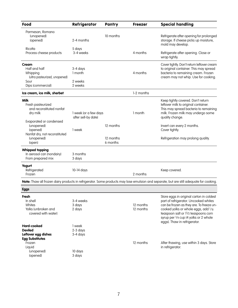| Food                                                                                                       | Refrigerator                                 | Pantry                             | <b>Freezer</b>         | <b>Special handling</b>                                                                                                                                                                                                                                                               |
|------------------------------------------------------------------------------------------------------------|----------------------------------------------|------------------------------------|------------------------|---------------------------------------------------------------------------------------------------------------------------------------------------------------------------------------------------------------------------------------------------------------------------------------|
| Parmesan, Romano<br>(unopened)<br>(opened)                                                                 | 2-4 months                                   | 10 months                          |                        | Refrigerate after opening for prolonged<br>storage. If cheese picks up moisture,<br>mold may develop.                                                                                                                                                                                 |
| Ricotta<br>Process cheese products                                                                         | 5 days<br>3-4 weeks                          |                                    | 4 months               | Refrigerate after opening. Close or<br>wrap tightly.                                                                                                                                                                                                                                  |
| Cream<br>Half and half<br>Whipping<br>(ultra pasteurized, unopened)<br>Sour<br>Dips (commercial)           | 3-4 days<br>1 month<br>2 weeks<br>2 weeks    |                                    | 4 months               | Cover tightly. Don't return leftover cream<br>to original container. This may spread<br>bacteria to remaining cream. Frozen<br>cream may not whip. Use for cooking.                                                                                                                   |
| Ice cream, ice milk, sherbet                                                                               |                                              |                                    | 1-2 months             |                                                                                                                                                                                                                                                                                       |
| <b>Milk</b><br>Fresh pasteurized<br>and reconstituted nonfat<br>dry milk                                   | 1 week (or a few days<br>after sell-by date) |                                    | 1 month                | Keep tightly covered. Don't return<br>leftover milk to original container.<br>This may spread bacteria to remaining<br>milk. Frozen milk may undergo some<br>quality change.                                                                                                          |
| Evaporated or condensed<br>(unopened)<br>(opened)<br>Nonfat dry, not reconstituted<br>(unopened)<br>(open) | 1 week                                       | 12 months<br>12 months<br>6 months |                        | Invert can every 2 months.<br>Cover tightly.<br>Refrigeration may prolong quality.                                                                                                                                                                                                    |
| <b>Whipped topping</b><br>In aerosol can (nondairy)<br>From prepared mix                                   | 3 months<br>3 days                           |                                    |                        |                                                                                                                                                                                                                                                                                       |
| Yogurt<br>Refrigerated<br>Frozen                                                                           | 10-14 days                                   |                                    | 2 months               | Keep covered.                                                                                                                                                                                                                                                                         |
|                                                                                                            |                                              |                                    |                        | Note: Thaw all frozen dairy products in refrigerator. Some products may lose emulsion and separate, but are still adequate for cooking.                                                                                                                                               |
| <b>Eggs</b>                                                                                                |                                              |                                    |                        |                                                                                                                                                                                                                                                                                       |
| Fresh<br>In shell<br>Whites<br>Yolks (unbroken and<br>covered with water)                                  | 3-4 weeks<br>3 days<br>2 days                |                                    | 12 months<br>12 months | Store eggs in original carton in coldest<br>part of refrigerator. Uncooked whites<br>can be frozen as they are. To freeze un-<br>cooked yolks or whole eggs, add 1/8<br>teaspoon salt or 11/2 teaspoons corn<br>syrup per 1/4 cup (4 yolks or 2 whole<br>eggs). Thaw in refrigerator. |
| <b>Hard-cooked</b><br><b>Deviled</b><br>Leftover egg dishes<br><b>Egg Substitutes</b>                      | 1 week<br>$2-3$ days<br>3-4 days             |                                    |                        |                                                                                                                                                                                                                                                                                       |
| Frozen<br>Liquid<br>(unopened)<br>(opened)                                                                 | 10 days<br>3 days                            |                                    | 12 months              | After thawing, use within 3 days. Store<br>in refrigerator.                                                                                                                                                                                                                           |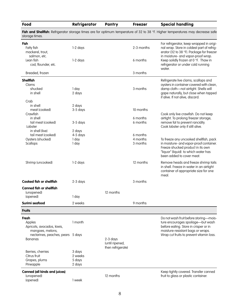| Food                                             | Refrigerator     | Pantry            | <b>Freezer</b> | <b>Special handling</b>                                                                                                                           |
|--------------------------------------------------|------------------|-------------------|----------------|---------------------------------------------------------------------------------------------------------------------------------------------------|
| storage times.                                   |                  |                   |                | Fish and Shellfish: Refrigerator storage times are for optimum temperature of 32 to 38 °F. Higher temperatures may decrease safe                  |
| Fish<br>Fatty fish<br>mackerel, trout,           | 1-2 days         |                   | 2-3 months     | For refrigerator, keep wrapped in origi-<br>nal wrap. Store in coldest part of refrig-<br>erator (32 to 38 °F). Package for freezer               |
| salmon, etc.<br>Lean fish<br>cod, flounder, etc. | $1-2$ days       |                   | 6 months       | in moisture- and vapor-proof wrap.<br>Keep solidly frozen at 0 °F. Thaw in<br>refrigerator or under cold running<br>water.                        |
| Breaded, frozen                                  |                  |                   | 3 months       |                                                                                                                                                   |
| <b>Shellfish</b>                                 |                  |                   |                | Refrigerate live clams, scallops and                                                                                                              |
| Clams                                            |                  |                   |                | oysters in container covered with clean,                                                                                                          |
| shucked                                          | 1 day            |                   | 3 months       | damp cloth-not airtight. Shells will                                                                                                              |
| in shell                                         | 2 days           |                   |                | gape naturally, but close when tapped                                                                                                             |
| Crab                                             |                  |                   |                | if alive. If not alive, discard.                                                                                                                  |
| in shell                                         | 2 days           |                   |                |                                                                                                                                                   |
| meat (cooked)                                    | 3-5 days         |                   | 10 months      |                                                                                                                                                   |
| Crawfish                                         |                  |                   |                | Cook only live crawfish. Do not keep                                                                                                              |
| in shell                                         |                  |                   | 6 months       | airtight. To prolong freezer storage,                                                                                                             |
| tail meat (cooked)                               | $3-5$ days       |                   | 6 months       | remove fat to prevent rancidity.                                                                                                                  |
| Lobster                                          |                  |                   |                | Cook lobster only if still alive.                                                                                                                 |
| in shell (live)                                  | 2 days           |                   |                |                                                                                                                                                   |
| tail meat (cooked)                               | 4-5 days         |                   | 6 months       |                                                                                                                                                   |
| Oysters (shucked)                                | 1 day            |                   | 4 months       |                                                                                                                                                   |
|                                                  |                  |                   |                | To freeze any uncooked shellfish, pack                                                                                                            |
| Scallops                                         | 1 day            |                   | 3 months       | in moisture- and vapor-proof container.<br>Freeze shucked product in its own<br>"liquor" (liquid) to which water has<br>been added to cover meat. |
| Shrimp (uncooked)                                | 1-2 days         |                   | 12 months      | Remove heads and freeze shrimp tails<br>in shell. Freeze in water in an airtight<br>container of appropriate size for one<br>meal.                |
| Cooked fish or shellfish                         | $2-3$ days       |                   | 3 months       |                                                                                                                                                   |
| <b>Canned fish or shellfish</b>                  |                  |                   |                |                                                                                                                                                   |
| (unopened)                                       |                  | 12 months         |                |                                                                                                                                                   |
| (opened)                                         | 1 day            |                   |                |                                                                                                                                                   |
| Surimi seafood                                   | 2 weeks          |                   | 9 months       |                                                                                                                                                   |
| <b>Fruits</b>                                    |                  |                   |                |                                                                                                                                                   |
|                                                  |                  |                   |                |                                                                                                                                                   |
| Fresh                                            |                  |                   |                | Do not wash fruit before storing-mois-                                                                                                            |
| Apples                                           | 1 month          |                   |                | ture encourages spoilage-but wash                                                                                                                 |
| Apricots, avocados, kiwis,                       |                  |                   |                | before eating. Store in crisper or in                                                                                                             |
| mangoes, melons,                                 |                  |                   |                | moisture-resistant bags or wraps.                                                                                                                 |
| nectarines, peaches, pears 5 days                |                  |                   |                | Wrap cut fruits to prevent vitamin loss.                                                                                                          |
| Bananas                                          |                  | $2-3$ days        |                |                                                                                                                                                   |
|                                                  |                  | (until ripened,   |                |                                                                                                                                                   |
|                                                  |                  | then refrigerate) |                |                                                                                                                                                   |
| Berries, cherries                                | 3 days           |                   |                |                                                                                                                                                   |
| Citrus fruit                                     | 2 weeks          |                   |                |                                                                                                                                                   |
| Grapes, plums<br>Pineapple                       | 5 days<br>2 days |                   |                |                                                                                                                                                   |
| <b>Canned (all kinds and juices)</b>             |                  |                   |                | Keep tightly covered. Transfer canned                                                                                                             |
| (unopened)                                       |                  | 12 months         |                | fruit to glass or plastic container.                                                                                                              |
| (opened)                                         | 1 week           |                   |                |                                                                                                                                                   |
|                                                  |                  |                   |                |                                                                                                                                                   |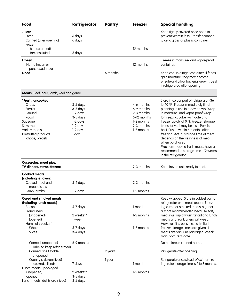| Food                                                                                                                                              | Refrigerator                                                                              | Pantry   | <b>Freezer</b>                                                                                  | <b>Special handling</b>                                                                                                                                                                                                                                                                                                                                                                                                                                                                                                         |
|---------------------------------------------------------------------------------------------------------------------------------------------------|-------------------------------------------------------------------------------------------|----------|-------------------------------------------------------------------------------------------------|---------------------------------------------------------------------------------------------------------------------------------------------------------------------------------------------------------------------------------------------------------------------------------------------------------------------------------------------------------------------------------------------------------------------------------------------------------------------------------------------------------------------------------|
| Juices<br>Fresh<br>Canned (after opening)<br>Frozen<br>(concentrated)                                                                             | 6 days<br>6 days                                                                          |          | 12 months                                                                                       | Keep tightly covered once open to<br>prevent vitamin loss. Transfer canned<br>juice to glass or plastic container.                                                                                                                                                                                                                                                                                                                                                                                                              |
| (reconstituted)                                                                                                                                   | 6 days                                                                                    |          |                                                                                                 |                                                                                                                                                                                                                                                                                                                                                                                                                                                                                                                                 |
| Frozen<br>(Home frozen or<br>purchased frozen)<br><b>Dried</b>                                                                                    |                                                                                           | 6 months | 12 months                                                                                       | Freeze in moisture- and vapor-proof<br>container.<br>Keep cool in airtight container. If foods<br>gain moisture, they may become<br>unsafe and allow bacterial growth. Best                                                                                                                                                                                                                                                                                                                                                     |
|                                                                                                                                                   |                                                                                           |          |                                                                                                 | if refrigerated after opening.                                                                                                                                                                                                                                                                                                                                                                                                                                                                                                  |
| Meats: Beef, pork, lamb, veal and game                                                                                                            |                                                                                           |          |                                                                                                 |                                                                                                                                                                                                                                                                                                                                                                                                                                                                                                                                 |
| *Fresh, uncooked<br>Chops<br><b>Steaks</b><br>Ground<br>Roast<br>Sausage<br>Stew meat<br>Variety meats<br>Prestuffed products<br>(chops, breasts) | 3-5 days<br>3-5 days<br>1-2 days<br>3-5 days<br>1-2 days<br>1-2 days<br>1-2 days<br>1 day |          | 4-6 months<br>6-9 months<br>2-3 months<br>6-12 months<br>1-2 months<br>2-3 months<br>1-2 months | Store in colder part of refrigerator (36<br>to 40 °F). Freeze immediately if not<br>planning to use in a day or two. Wrap<br>in moisture- and vapor-proof wrap<br>for freezing. Label with date and<br>freeze rapidly at 0 °F. Freezer storage<br>times for veal may be less. Pork is<br>best if used within 6 months after<br>freezing. Actual storage time of meat<br>depends on the freshness of meat<br>when purchased.<br>*Vacuum-packed fresh meats have a<br>recommended storage time of 2 weeks<br>in the refrigerator. |
| Casseroles, meat pies,<br>TV dinners, stews (frozen)                                                                                              |                                                                                           |          | 2-3 months                                                                                      | Keep frozen until ready to heat.                                                                                                                                                                                                                                                                                                                                                                                                                                                                                                |
| <b>Cooked meats</b>                                                                                                                               |                                                                                           |          |                                                                                                 |                                                                                                                                                                                                                                                                                                                                                                                                                                                                                                                                 |
| (including leftovers)<br>Cooked meat and<br>meat dishes                                                                                           | 3-4 days                                                                                  |          | 2-3 months                                                                                      |                                                                                                                                                                                                                                                                                                                                                                                                                                                                                                                                 |
| Gravy, broths                                                                                                                                     | 1-2 days                                                                                  |          | 1-2 months                                                                                      |                                                                                                                                                                                                                                                                                                                                                                                                                                                                                                                                 |
| <b>Cured and smoked meats</b><br>(including lunch meats)<br>Bacon<br>Frankfurters<br>(unopened)<br>(opened)<br>Ham (fully cooked)<br>Whole        | 5-7 days<br>2 weeks**<br>1 week<br>5-7 days                                               |          | 1 month<br>1-2 months<br>1-2 months                                                             | Keep wrapped. Store in coldest part of<br>refrigerator or in meat keeper. Freez-<br>ing cured or smoked meats is gener-<br>ally not recommended because salty<br>meats will rapidly turn rancid and lunch<br>meats and frankfurters will weep.<br>However, it is possible, so limited<br>freezer storage times are given. If                                                                                                                                                                                                    |
| Slices                                                                                                                                            | 3-4 days                                                                                  |          |                                                                                                 | meats are vacuum packaged, check<br>manufacturer's date.                                                                                                                                                                                                                                                                                                                                                                                                                                                                        |
| Canned (unopened)<br>(labeled keep refrigerated)<br>Canned (shelf stable,                                                                         | 6-9 months                                                                                | 2 years  |                                                                                                 | Do not freeze canned hams.<br>Refrigerate after opening.                                                                                                                                                                                                                                                                                                                                                                                                                                                                        |
| unopened)<br>Country style (unsliced)<br>(cooked, sliced)<br>Lunch meats - packaged                                                               | 7 days                                                                                    | 1 year   | 1 month                                                                                         | Refrigerate once sliced. Maximum re-<br>frigerator storage time is 2 to 3 months.                                                                                                                                                                                                                                                                                                                                                                                                                                               |
| (unopened)<br>(opened)<br>Lunch meats, deli (store sliced)                                                                                        | 2 weeks**<br>3-5 days<br>3-5 days                                                         |          | 1-2 months                                                                                      |                                                                                                                                                                                                                                                                                                                                                                                                                                                                                                                                 |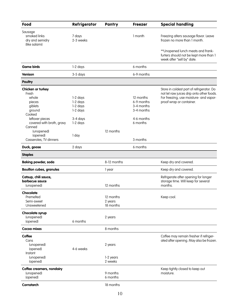| Food                                                                                                                                                             | Refrigerator                                                                  | Pantry                            | <b>Freezer</b>                                                                | <b>Special handling</b>                                                                                                                                      |
|------------------------------------------------------------------------------------------------------------------------------------------------------------------|-------------------------------------------------------------------------------|-----------------------------------|-------------------------------------------------------------------------------|--------------------------------------------------------------------------------------------------------------------------------------------------------------|
| Sausage<br>smoked links<br>dry and semidry<br>(like salami)                                                                                                      | 7 days<br>2-3 weeks                                                           |                                   | 1 month                                                                       | Freezing alters sausage flavor. Leave<br>frozen no more than 1 month.                                                                                        |
|                                                                                                                                                                  |                                                                               |                                   |                                                                               | ** Unopened lunch meats and frank-<br>furters should not be kept more than 1<br>week after "sell by" date.                                                   |
| <b>Game birds</b>                                                                                                                                                | 1-2 days                                                                      |                                   | 6 months                                                                      |                                                                                                                                                              |
| <b>Venison</b>                                                                                                                                                   | 3-5 days                                                                      |                                   | 6-9 months                                                                    |                                                                                                                                                              |
| <b>Poultry</b>                                                                                                                                                   |                                                                               |                                   |                                                                               |                                                                                                                                                              |
| Chicken or turkey<br>Fresh<br>whole<br>pieces<br>giblets<br>ground<br>Cooked<br>leftover pieces<br>covered with broth, gravy<br>Canned<br>(unopened)<br>(opened) | 1-2 days<br>1-2 days<br>1-2 days<br>1-2 days<br>3-4 days<br>1-2 days<br>1 day | 12 months                         | 12 months<br>6-9 months<br>3-4 months<br>3-4 months<br>4-6 months<br>6 months | Store in coldest part of refrigerator. Do<br>not let raw juices drip onto other foods.<br>For freezing, use moisture- and vapor-<br>proof wrap or container. |
| Casseroles, TV dinners                                                                                                                                           |                                                                               |                                   | 3 months                                                                      |                                                                                                                                                              |
| Duck, goose                                                                                                                                                      | 2 days                                                                        |                                   | 6 months                                                                      |                                                                                                                                                              |
| <b>Staples</b>                                                                                                                                                   |                                                                               |                                   |                                                                               |                                                                                                                                                              |
| <b>Baking powder, soda</b>                                                                                                                                       |                                                                               | 8-12 months                       |                                                                               | Keep dry and covered.                                                                                                                                        |
| <b>Bouillon cubes, granules</b>                                                                                                                                  |                                                                               | 1 year                            |                                                                               | Keep dry and covered.                                                                                                                                        |
| Catsup, chili sauce,<br>barbecue sauce<br>(unopened)                                                                                                             |                                                                               | 12 months                         |                                                                               | Refrigerate after opening for longer<br>storage time. Will keep for several<br>months.                                                                       |
| Chocolate<br>Premelted<br>Semi-sweet<br>Unsweetened                                                                                                              |                                                                               | 12 months<br>2 years<br>18 months |                                                                               | Keep cool.                                                                                                                                                   |
| Chocolate syrup<br>(unopened)<br>(opened)                                                                                                                        | 6 months                                                                      | 2 years                           |                                                                               |                                                                                                                                                              |
| Cocog mixes                                                                                                                                                      |                                                                               | 8 months                          |                                                                               |                                                                                                                                                              |
| Coffee<br>Cans<br>(unopened)<br>(opened)<br>Instant<br>(unopened)                                                                                                | 4-6 weeks                                                                     | 2 years<br>1-2 years              |                                                                               | Coffee may remain fresher if refriger-<br>ated after opening. May also be frozen.                                                                            |
| (opened)<br>Coffee creamers, nondairy<br>(unopened)<br>(opened)<br>Cornstarch                                                                                    |                                                                               | 2 weeks<br>9 months<br>6 months   |                                                                               | Keep tightly closed to keep out<br>moisture.                                                                                                                 |
|                                                                                                                                                                  |                                                                               | 18 months                         |                                                                               |                                                                                                                                                              |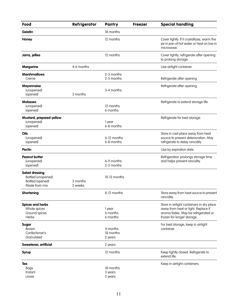| Food                                                                             | Refrigerator        | Pantry                           | <b>Freezer</b> | <b>Special handling</b>                                                                                                                               |
|----------------------------------------------------------------------------------|---------------------|----------------------------------|----------------|-------------------------------------------------------------------------------------------------------------------------------------------------------|
| <b>Gelatin</b>                                                                   |                     | 18 months                        |                |                                                                                                                                                       |
| Honey                                                                            |                     | 12 months                        |                | Cover tightly. If it crystallizes, warm the<br>jar in pan of hot water or heat on low in<br>microwave.                                                |
| Jams, jellies                                                                    |                     | 12 months                        |                | Cover tightly; refrigerate after opening<br>to prolong storage.                                                                                       |
| <b>Margarine</b>                                                                 | 4-6 months          |                                  |                | Use airtight container.                                                                                                                               |
| <b>Marshmallows</b><br>Creme                                                     |                     | 2-3 months<br>2-3 months         |                | Refrigerate after opening.                                                                                                                            |
| <b>Mayonnaise</b><br>(unopened)<br>(opened)                                      | 3 months            | 3-4 months                       |                | Refrigerate after opening.                                                                                                                            |
| <b>Molasses</b><br>(unopened)<br>(opened)                                        |                     | 12 months<br>6 months            |                | Refrigerate to extend storage life.                                                                                                                   |
| Mustard, prepared yellow<br>(unopened)<br>(opened)                               |                     | 1 year<br>6-8 months             |                | Refrigerate for best storage.                                                                                                                         |
| Oils<br>(unopened)<br>(opened)                                                   |                     | 6-12 months<br>6-8 months        |                | Store in cool place away from heat<br>source to prevent deterioration. May<br>refrigerate to delay rancidity.                                         |
| <b>Pectin</b>                                                                    |                     |                                  |                | Use by expiration date.                                                                                                                               |
| <b>Peanut butter</b><br>(unopened)<br>(opened)                                   |                     | 6-9 months<br>2-3 months         |                | Refrigeration prolongs storage time<br>and helps prevent rancidity.                                                                                   |
| <b>Salad dressing</b><br>Bottled (unopened)<br>Bottled (opened)<br>Made from mix | 3 months<br>2 weeks | 10-12 months                     |                |                                                                                                                                                       |
| <b>Shortening</b>                                                                |                     | 8-12 months                      |                | Store away from heat source to prevent<br>rancidity.                                                                                                  |
| <b>Spices and herbs</b><br>Whole spices<br>Ground spices<br><b>Herbs</b>         |                     | 1 year<br>6 months<br>6 months   |                | Store in airtight containers in dry place<br>away from heat or light. Replace if<br>aroma fades. May be refrigerated or<br>frozen for longer storage. |
| Sugar<br><b>Brown</b><br>Confectioner's<br>Granulated                            |                     | 4 months<br>18 months<br>2 years |                | For best storage, keep in airtight<br>container.                                                                                                      |
| Sweetener, artificial                                                            |                     | 2 years                          |                |                                                                                                                                                       |
| <b>Syrup</b>                                                                     |                     | 12 months                        |                | Keep tightly closed. Refrigerate to<br>extend life.                                                                                                   |
| Tea<br>Bags<br>Instant<br>Loose                                                  |                     | 18 months<br>3 years<br>2 years  |                | Keep in airtight containers.                                                                                                                          |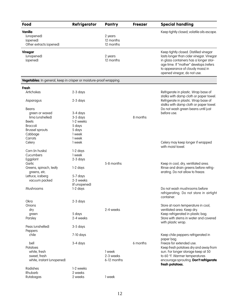| Food                                                                | Refrigerator               | Pantry                 | <b>Freezer</b> | <b>Special handling</b>                                                                                                      |
|---------------------------------------------------------------------|----------------------------|------------------------|----------------|------------------------------------------------------------------------------------------------------------------------------|
| Vanilla<br>(unopened)                                               |                            | 2 years                |                | Keep tightly closed; volatile oils escape.                                                                                   |
| (opened)<br>Other extracts (opened)                                 |                            | 12 months<br>12 months |                |                                                                                                                              |
| <b>Vinegar</b><br>(unopened)                                        |                            | 2 years<br>12 months   |                | Keep tightly closed. Distilled vinegar<br>lasts longer than cider vinegar. Vinegar<br>in glass containers has a longer stor- |
| (opened)                                                            |                            |                        |                | age time. If "mother" develops (refers<br>to appearance of cloudy mass) in<br>opened vinegar, do not use.                    |
| Vegetables: In general, keep in crisper or moisture-proof wrapping. |                            |                        |                |                                                                                                                              |
| Fresh                                                               |                            |                        |                |                                                                                                                              |
| Artichokes                                                          | 2-3 days                   |                        |                | Refrigerate in plastic. Wrap base of<br>stalks with damp cloth or paper towel.                                               |
| Asparagus                                                           | 2-3 days                   |                        |                | Refrigerate in plastic. Wrap base of<br>stalks with damp cloth or paper towel.                                               |
| Beans                                                               |                            |                        |                | Do not wash green beans until just                                                                                           |
| green or waxed                                                      | 3-4 days                   |                        |                | before use.                                                                                                                  |
| lima (unshelled)                                                    | 3-5 days                   |                        | 8 months       |                                                                                                                              |
| <b>Beets</b>                                                        | 1-2 weeks                  |                        |                |                                                                                                                              |
| <b>Broccoli</b>                                                     | 5 days                     |                        |                |                                                                                                                              |
| Brussel sprouts                                                     | 5 days                     |                        |                |                                                                                                                              |
| Cabbage                                                             | 1 week                     |                        |                |                                                                                                                              |
| Carrots                                                             | 1 week                     |                        |                |                                                                                                                              |
| Celery                                                              | 1 week                     |                        |                | Celery may keep longer if wrapped<br>with moist towel.                                                                       |
| Corn (in husks)                                                     | 1-2 days                   |                        |                |                                                                                                                              |
| Cucumbers                                                           | 1 week                     |                        |                |                                                                                                                              |
| Eggplant                                                            | 2-3 days                   |                        |                |                                                                                                                              |
| Garlic                                                              |                            | 5-8 months             |                | Keep in cool, dry, ventilated area.                                                                                          |
| Greens, spinach, leafy<br>greens, etc.                              | 1-2 days                   |                        |                | Rinse and drain greens before refrig-<br>erating. Do not allow to freeze.                                                    |
| Lettuce, iceberg                                                    | 5-7 days                   |                        |                |                                                                                                                              |
| vacuum packed                                                       | 2-3 weeks<br>(if unopened) |                        |                |                                                                                                                              |
| Mushrooms                                                           | 1-2 days                   |                        |                | Do not wash mushrooms before<br>refrigerating. Do not store in airtight<br>container.                                        |
| Okra                                                                | 2-3 days                   |                        |                |                                                                                                                              |
| Onions                                                              |                            |                        |                | Store at room temperature in cool,                                                                                           |
| dry                                                                 |                            | 2-4 weeks              |                | ventilated area. Keep dry.                                                                                                   |
| green                                                               | 5 days                     |                        |                | Keep refrigerated in plastic bag.                                                                                            |
| Parsley                                                             | 2-4 weeks                  |                        |                | Store with stems in water and covered<br>with plastic wrap.                                                                  |
| Peas (unshelled)<br>Peppers                                         | 3-5 days                   |                        |                |                                                                                                                              |
| chile                                                               | 7-10 days                  |                        |                | Keep chile peppers refrigerated in<br>paper bag.                                                                             |
| bell                                                                | 3-4 days                   |                        | 6 months       | Freeze for extended use.                                                                                                     |
| Potatoes                                                            |                            |                        |                | Keep fresh potatoes dry and away from                                                                                        |
| white, fresh                                                        |                            | 1 week                 |                | sun. For longer storage keep at 50                                                                                           |
| sweet, fresh                                                        |                            | 2-3 weeks              |                | to 60 °F. Warmer temperatures                                                                                                |
| white, instant (unopened)                                           |                            | 6-12 months            |                | encourage sprouting. Don't refrigerate<br>fresh potatoes.                                                                    |
| Radishes                                                            | 1-2 weeks                  |                        |                |                                                                                                                              |
| Rhubarb                                                             | 2 weeks                    |                        |                |                                                                                                                              |
| Rutabagas                                                           | 2 weeks                    | 1 week                 |                |                                                                                                                              |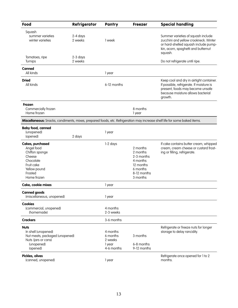| Food                                                                                                                            | Refrigerator          | Pantry                                                  | <b>Freezer</b>                                                                                     | <b>Special handling</b>                                                                                                                                                  |
|---------------------------------------------------------------------------------------------------------------------------------|-----------------------|---------------------------------------------------------|----------------------------------------------------------------------------------------------------|--------------------------------------------------------------------------------------------------------------------------------------------------------------------------|
| Squash<br>summer varieties<br>winter varieties                                                                                  | 2-4 days<br>2 weeks   | 1 week                                                  |                                                                                                    | Summer varieties of squash include<br>zucchini and yellow crookneck. Winter<br>or hard-shelled squash include pump-<br>kin, acorn, spaghetti and butternut<br>squash.    |
| Tomatoes, ripe<br>Turnips                                                                                                       | $2-3$ days<br>2 weeks |                                                         |                                                                                                    | Do not refrigerate until ripe.                                                                                                                                           |
| Canned<br>All kinds                                                                                                             |                       | 1 year                                                  |                                                                                                    |                                                                                                                                                                          |
| <b>Dried</b><br>All kinds                                                                                                       |                       | 6-12 months                                             |                                                                                                    | Keep cool and dry in airtight container.<br>If possible, refrigerate. If moisture is<br>present, foods may become unsafe<br>because moisture allows bacterial<br>growth. |
| Frozen<br>Commercially frozen<br>Home frozen                                                                                    |                       |                                                         | 8 months<br>1 year                                                                                 |                                                                                                                                                                          |
| Miscellaneous: Snacks, condiments, mixes, prepared foods, etc. Refrigeration may increase shelf life for some baked items.      |                       |                                                         |                                                                                                    |                                                                                                                                                                          |
| <b>Baby food, canned</b><br>(unopened)<br>(opened)                                                                              | 2 days                | 1 year                                                  |                                                                                                    |                                                                                                                                                                          |
| Cakes, purchased<br>Angel food<br>Chiffon sponge<br>Cheese<br>Chocolate<br>Fruit cake<br>Yellow pound<br>Frosted<br>Home frozen |                       | 1-2 days                                                | 2 months<br>2 months<br>2-3 months<br>4 months<br>12 months<br>6 months<br>8-12 months<br>3 months | If cake contains butter cream, whipped<br>cream, cream cheese or custard frost-<br>ing or filling, refrigerate.                                                          |
| Cake, cookie mixes                                                                                                              |                       | 1 year                                                  |                                                                                                    |                                                                                                                                                                          |
| <b>Canned goods</b><br>(miscellaneous, unopened)                                                                                |                       | 1 year                                                  |                                                                                                    |                                                                                                                                                                          |
| <b>Cookies</b><br>(commercial, unopened)<br>(homemade)                                                                          |                       | 4 months<br>2-3 weeks                                   |                                                                                                    |                                                                                                                                                                          |
| <b>Crackers</b>                                                                                                                 |                       | 3-6 months                                              |                                                                                                    |                                                                                                                                                                          |
| <b>Nuts</b><br>In shell (unopened)<br>Nut meats, packaged (unopened)<br>Nuts (jars or cans)<br>(unopened)<br>(opened)           |                       | 4 months<br>6 months<br>2 weeks<br>1 year<br>4-6 months | 3 months<br>6-8 months<br>9-12 months                                                              | Refrigerate or freeze nuts for longer<br>storage to delay rancidity.                                                                                                     |
| Pickles, olives<br>(canned, unopened)                                                                                           |                       | 1 year                                                  |                                                                                                    | Refrigerate once opened for 1 to 2<br>months.                                                                                                                            |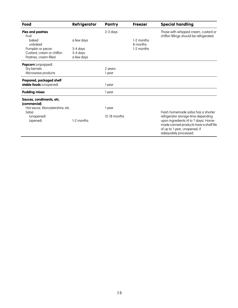| Food                                                | Refrigerator           | Pantry       | <b>Freezer</b>         | <b>Special handling</b>                                                                                                                   |
|-----------------------------------------------------|------------------------|--------------|------------------------|-------------------------------------------------------------------------------------------------------------------------------------------|
| Pies and pastries<br>Fruit                          |                        | 2-3 days     |                        | Those with whipped cream, custard or<br>chiffon fillings should be refrigerated.                                                          |
| baked<br>unbaked                                    | a few days             |              | 1-2 months<br>8 months |                                                                                                                                           |
| Pumpkin or pecan                                    | 3-4 days               |              | 1-2 months             |                                                                                                                                           |
| Custard, cream or chiffon<br>Pastries, cream filled | 3-4 days<br>a few days |              |                        |                                                                                                                                           |
| Popcorn (unpopped)                                  |                        |              |                        |                                                                                                                                           |
| Dry kernels                                         |                        | 2 years      |                        |                                                                                                                                           |
| Microwave products                                  |                        | 1 year       |                        |                                                                                                                                           |
| Prepared, packaged shelf                            |                        |              |                        |                                                                                                                                           |
| stable foods (unopened)                             |                        | 1 year       |                        |                                                                                                                                           |
| <b>Pudding mixes</b>                                |                        | 1 year       |                        |                                                                                                                                           |
| Sauces, condiments, etc.<br>(commercial)            |                        |              |                        |                                                                                                                                           |
| Hot sauce, Worcestershire, etc.                     |                        | 1 year       |                        |                                                                                                                                           |
| Salsa<br>(unopened)                                 |                        | 12-18 months |                        | Fresh homemade salsa has a shorter<br>refrigerator storage time depending                                                                 |
| (opened)                                            | 1-2 months             |              |                        | upon ingredients (4 to 7 days). Home-<br>made canned products have a shelf life<br>of up to 1 year, unopened, if<br>adequately processed. |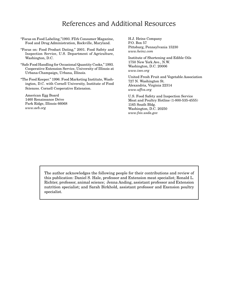#### References and Additional Resources

- "Focus on Food Labeling,"1993. FDA Consumer Magazine, Food and Drug Administration, Rockville, Maryland.
- "Focus on: Food Product Dating," 2001. Food Safety and Inspection Service, U.S. Department of Agriculture, Washington, D.C.
- "Safe Food Handling for Occasional Quantity Cooks," 1993. Cooperative Extension Service, University of Illinois at Urbana-Champaign, Urbana, Illinois.
- "The Food Keeper." 1996. Food Marketing Institute, Washington, D.C. with Cornell University, Institute of Food Sciences. Cornell Cooperative Extension.

American Egg Board 1460 Renaissance Drive Park Ridge, Illinois 66068 *www.aeb.org*

H.J. Heinz Company P.O. Box 57 Pittsburg, Pennsylvania 15230 *www.heinz.com*

Institute of Shortening and Edible Oils 1750 New York Ave., N.W. Washington, D.C. 20006 *www.iseo.org*

United Fresh Fruit and Vegetable Association 727 N. Washington St. Alexandria, Virginia 22314 *www.uffva.org*

U.S. Food Safety and Inspection Service Meat and Poultry Hotline (1-800-535-4555) 1165 South Bldg. Washington, D.C. 20250 *www.fsis.usda.gov*

The author acknowledges the following people for their contributions and review of this publication: Daniel S. Hale, professor and Extension meat specialist; Ronald L. Richter, professor, animal science; Jenna Anding, assistant professor and Extension nutrition specialist; and Sarah Birkhold, assistant professor and Exension poultry specialist.